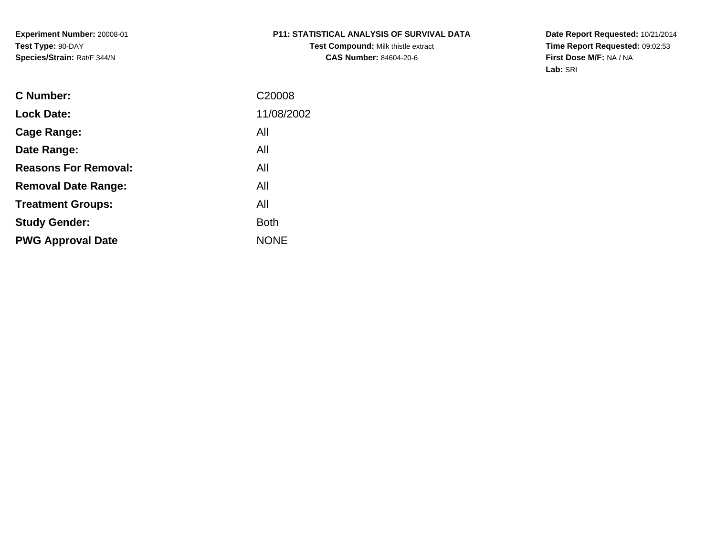**Experiment Number:** 20008-01**Test Type:** 90-DAY**Species/Strain:** Rat/F 344/N

# **P11: STATISTICAL ANALYSIS OF SURVIVAL DATA**

**Test Compound:** Milk thistle extract**CAS Number:** 84604-20-6

**Date Report Requested:** 10/21/2014 **Time Report Requested:** 09:02:53**First Dose M/F:** NA / NA**Lab:** SRI

| <b>C</b> Number:            | C20008      |
|-----------------------------|-------------|
| <b>Lock Date:</b>           | 11/08/2002  |
| Cage Range:                 | All         |
| Date Range:                 | All         |
| <b>Reasons For Removal:</b> | All         |
| <b>Removal Date Range:</b>  | All         |
| <b>Treatment Groups:</b>    | All         |
| <b>Study Gender:</b>        | Both        |
| <b>PWG Approval Date</b>    | <b>NONE</b> |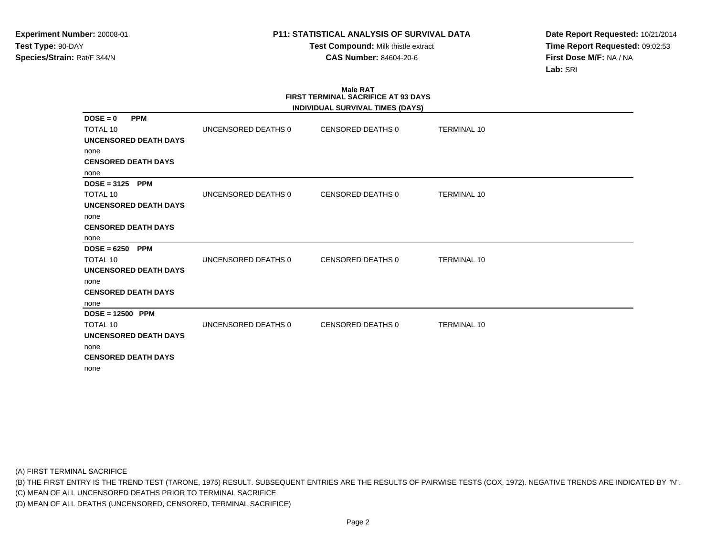**Test Compound:** Milk thistle extract**CAS Number:** 84604-20-6

**Date Report Requested:** 10/21/2014**Time Report Requested:** 09:02:53**First Dose M/F:** NA / NA**Lab:** SRI

#### **Male RAT FIRST TERMINAL SACRIFICE AT 93 DAYSINDIVIDUAL SURVIVAL TIMES (DAYS)**

|                              |                     | INDIVIDUAL SURVIVAL TIMES (DAYS) |                    |  |
|------------------------------|---------------------|----------------------------------|--------------------|--|
| <b>PPM</b><br>$DOSE = 0$     |                     |                                  |                    |  |
| <b>TOTAL 10</b>              | UNCENSORED DEATHS 0 | CENSORED DEATHS 0                | <b>TERMINAL 10</b> |  |
| UNCENSORED DEATH DAYS        |                     |                                  |                    |  |
| none                         |                     |                                  |                    |  |
| <b>CENSORED DEATH DAYS</b>   |                     |                                  |                    |  |
| none                         |                     |                                  |                    |  |
| $DOSE = 3125$ PPM            |                     |                                  |                    |  |
| <b>TOTAL 10</b>              | UNCENSORED DEATHS 0 | CENSORED DEATHS 0                | <b>TERMINAL 10</b> |  |
| UNCENSORED DEATH DAYS        |                     |                                  |                    |  |
| none                         |                     |                                  |                    |  |
| <b>CENSORED DEATH DAYS</b>   |                     |                                  |                    |  |
| none                         |                     |                                  |                    |  |
| $DOSE = 6250$<br><b>PPM</b>  |                     |                                  |                    |  |
| <b>TOTAL 10</b>              | UNCENSORED DEATHS 0 | CENSORED DEATHS 0                | <b>TERMINAL 10</b> |  |
| <b>UNCENSORED DEATH DAYS</b> |                     |                                  |                    |  |
| none                         |                     |                                  |                    |  |
| <b>CENSORED DEATH DAYS</b>   |                     |                                  |                    |  |
| none                         |                     |                                  |                    |  |
| $DOSE = 12500$ PPM           |                     |                                  |                    |  |
| TOTAL 10                     | UNCENSORED DEATHS 0 | <b>CENSORED DEATHS 0</b>         | <b>TERMINAL 10</b> |  |
| <b>UNCENSORED DEATH DAYS</b> |                     |                                  |                    |  |
| none                         |                     |                                  |                    |  |
| <b>CENSORED DEATH DAYS</b>   |                     |                                  |                    |  |
| none                         |                     |                                  |                    |  |
|                              |                     |                                  |                    |  |

(A) FIRST TERMINAL SACRIFICE

(B) THE FIRST ENTRY IS THE TREND TEST (TARONE, 1975) RESULT. SUBSEQUENT ENTRIES ARE THE RESULTS OF PAIRWISE TESTS (COX, 1972). NEGATIVE TRENDS ARE INDICATED BY "N".

(C) MEAN OF ALL UNCENSORED DEATHS PRIOR TO TERMINAL SACRIFICE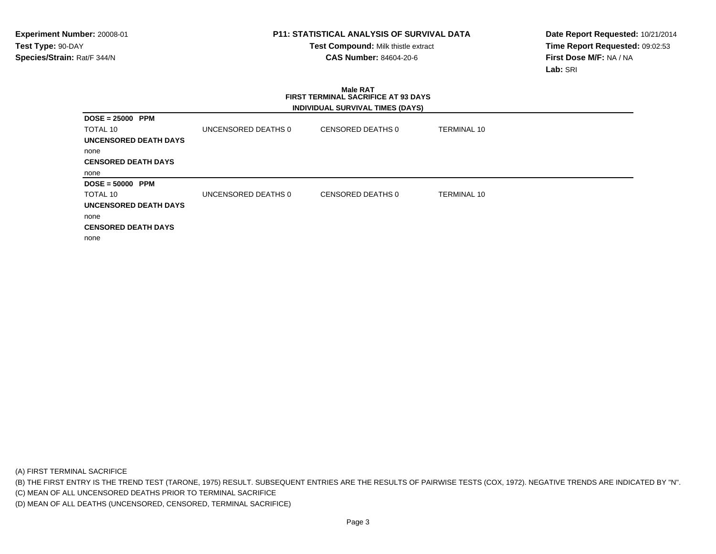**Test Compound:** Milk thistle extract**CAS Number:** 84604-20-6

**Date Report Requested:** 10/21/2014**Time Report Requested:** 09:02:53**First Dose M/F:** NA / NA**Lab:** SRI

### **Male RAT FIRST TERMINAL SACRIFICE AT 93 DAYSINDIVIDUAL SURVIVAL TIMES (DAYS)**

| $DOSE = 25000$ PPM         |                     |                   |                    |
|----------------------------|---------------------|-------------------|--------------------|
| TOTAL 10                   | UNCENSORED DEATHS 0 | CENSORED DEATHS 0 | <b>TERMINAL 10</b> |
| UNCENSORED DEATH DAYS      |                     |                   |                    |
| none                       |                     |                   |                    |
| <b>CENSORED DEATH DAYS</b> |                     |                   |                    |
| none                       |                     |                   |                    |
| $DOSE = 50000$ PPM         |                     |                   |                    |
| TOTAL 10                   | UNCENSORED DEATHS 0 | CENSORED DEATHS 0 | <b>TERMINAL 10</b> |
| UNCENSORED DEATH DAYS      |                     |                   |                    |
| none                       |                     |                   |                    |
| <b>CENSORED DEATH DAYS</b> |                     |                   |                    |
| none                       |                     |                   |                    |

(A) FIRST TERMINAL SACRIFICE

(B) THE FIRST ENTRY IS THE TREND TEST (TARONE, 1975) RESULT. SUBSEQUENT ENTRIES ARE THE RESULTS OF PAIRWISE TESTS (COX, 1972). NEGATIVE TRENDS ARE INDICATED BY "N".

(C) MEAN OF ALL UNCENSORED DEATHS PRIOR TO TERMINAL SACRIFICE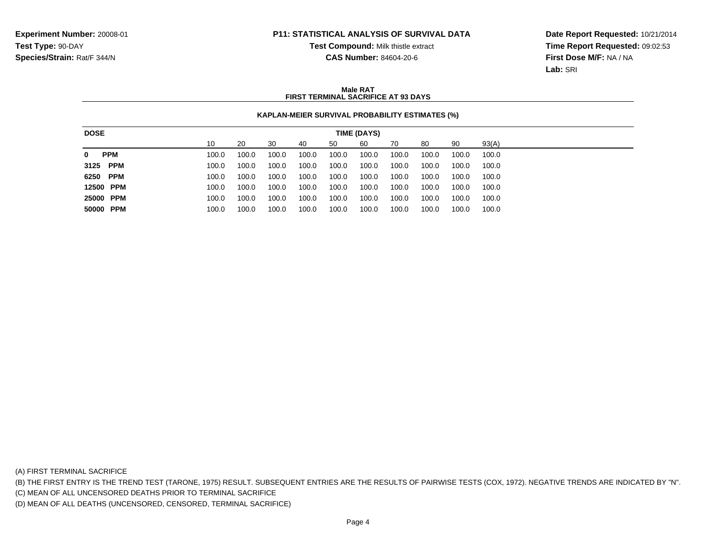**Test Compound:** Milk thistle extract

**CAS Number:** 84604-20-6

**Date Report Requested:** 10/21/2014**Time Report Requested:** 09:02:53**First Dose M/F:** NA / NA**Lab:** SRI

### **Male RATFIRST TERMINAL SACRIFICE AT 93 DAYS**

## **KAPLAN-MEIER SURVIVAL PROBABILITY ESTIMATES (%)**

| <b>DOSE</b>                |       |       |       |       |       | TIME (DAYS) |       |       |       |       |
|----------------------------|-------|-------|-------|-------|-------|-------------|-------|-------|-------|-------|
|                            | 10    | 20    | 30    | 40    | 50    | 60          | 70    | 80    | 90    | 93(A) |
| <b>PPM</b><br>$\mathbf{0}$ | 100.0 | 100.0 | 100.0 | 100.0 | 100.0 | 100.0       | 100.0 | 100.0 | 100.0 | 100.0 |
| 3125 PPM                   | 100.0 | 100.0 | 100.0 | 100.0 | 100.0 | 100.0       | 100.0 | 100.0 | 100.0 | 100.0 |
| 6250 PPM                   | 100.0 | 100.0 | 100.0 | 100.0 | 100.0 | 100.0       | 100.0 | 100.0 | 100.0 | 100.0 |
| 12500 PPM                  | 100.0 | 100.0 | 100.0 | 100.0 | 100.0 | 100.0       | 100.0 | 100.0 | 100.0 | 100.0 |
| 25000 PPM                  | 100.0 | 100.0 | 100.0 | 100.0 | 100.0 | 100.0       | 100.0 | 100.0 | 100.0 | 100.0 |
| 50000 PPM                  | 100.0 | 100.0 | 100.0 | 100.0 | 100.0 | 100.0       | 100.0 | 100.0 | 100.0 | 100.0 |
|                            |       |       |       |       |       |             |       |       |       |       |

(A) FIRST TERMINAL SACRIFICE

(B) THE FIRST ENTRY IS THE TREND TEST (TARONE, 1975) RESULT. SUBSEQUENT ENTRIES ARE THE RESULTS OF PAIRWISE TESTS (COX, 1972). NEGATIVE TRENDS ARE INDICATED BY "N".

(C) MEAN OF ALL UNCENSORED DEATHS PRIOR TO TERMINAL SACRIFICE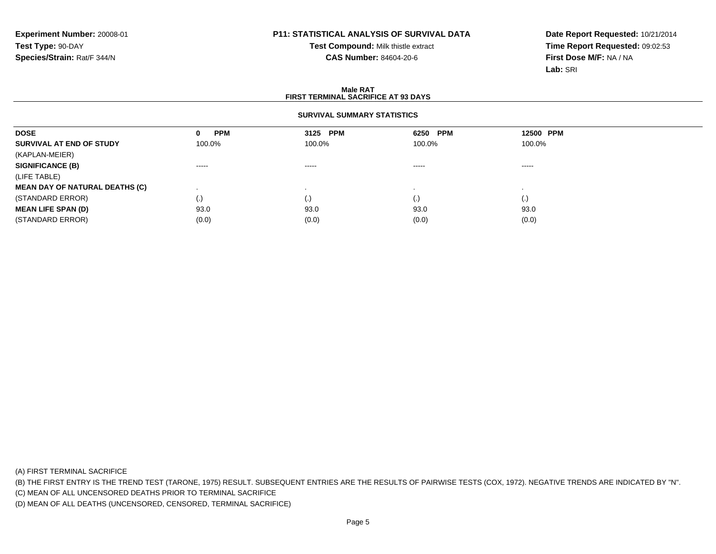**Test Compound:** Milk thistle extract**CAS Number:** 84604-20-6

**Date Report Requested:** 10/21/2014**Time Report Requested:** 09:02:53**First Dose M/F:** NA / NA**Lab:** SRI

### **Male RATFIRST TERMINAL SACRIFICE AT 93 DAYS**

### **SURVIVAL SUMMARY STATISTICS**

| <b>DOSE</b>                           | <b>PPM</b><br>0   | 3125 PPM                                                                                                                                                                                                                                                                                                                                                                                                                                                                               | 6250 PPM | 12500 PPM |  |
|---------------------------------------|-------------------|----------------------------------------------------------------------------------------------------------------------------------------------------------------------------------------------------------------------------------------------------------------------------------------------------------------------------------------------------------------------------------------------------------------------------------------------------------------------------------------|----------|-----------|--|
| SURVIVAL AT END OF STUDY              | 100.0%            | 100.0%                                                                                                                                                                                                                                                                                                                                                                                                                                                                                 | 100.0%   | 100.0%    |  |
| (KAPLAN-MEIER)                        |                   |                                                                                                                                                                                                                                                                                                                                                                                                                                                                                        |          |           |  |
| <b>SIGNIFICANCE (B)</b>               | $\cdots$          | $\begin{array}{cccccccccccccc} \multicolumn{2}{c}{} & \multicolumn{2}{c}{} & \multicolumn{2}{c}{} & \multicolumn{2}{c}{} & \multicolumn{2}{c}{} & \multicolumn{2}{c}{} & \multicolumn{2}{c}{} & \multicolumn{2}{c}{} & \multicolumn{2}{c}{} & \multicolumn{2}{c}{} & \multicolumn{2}{c}{} & \multicolumn{2}{c}{} & \multicolumn{2}{c}{} & \multicolumn{2}{c}{} & \multicolumn{2}{c}{} & \multicolumn{2}{c}{} & \multicolumn{2}{c}{} & \multicolumn{2}{c}{} & \multicolumn{2}{c}{} & \$ | $\cdots$ | $\cdots$  |  |
| (LIFE TABLE)                          |                   |                                                                                                                                                                                                                                                                                                                                                                                                                                                                                        |          |           |  |
| <b>MEAN DAY OF NATURAL DEATHS (C)</b> |                   |                                                                                                                                                                                                                                                                                                                                                                                                                                                                                        |          |           |  |
| (STANDARD ERROR)                      | $\left( .\right)$ |                                                                                                                                                                                                                                                                                                                                                                                                                                                                                        | (.)      | (.)       |  |
| <b>MEAN LIFE SPAN (D)</b>             | 93.0              | 93.0                                                                                                                                                                                                                                                                                                                                                                                                                                                                                   | 93.0     | 93.0      |  |
| (STANDARD ERROR)                      | (0.0)             | (0.0)                                                                                                                                                                                                                                                                                                                                                                                                                                                                                  | (0.0)    | (0.0)     |  |

(A) FIRST TERMINAL SACRIFICE

(B) THE FIRST ENTRY IS THE TREND TEST (TARONE, 1975) RESULT. SUBSEQUENT ENTRIES ARE THE RESULTS OF PAIRWISE TESTS (COX, 1972). NEGATIVE TRENDS ARE INDICATED BY "N".

(C) MEAN OF ALL UNCENSORED DEATHS PRIOR TO TERMINAL SACRIFICE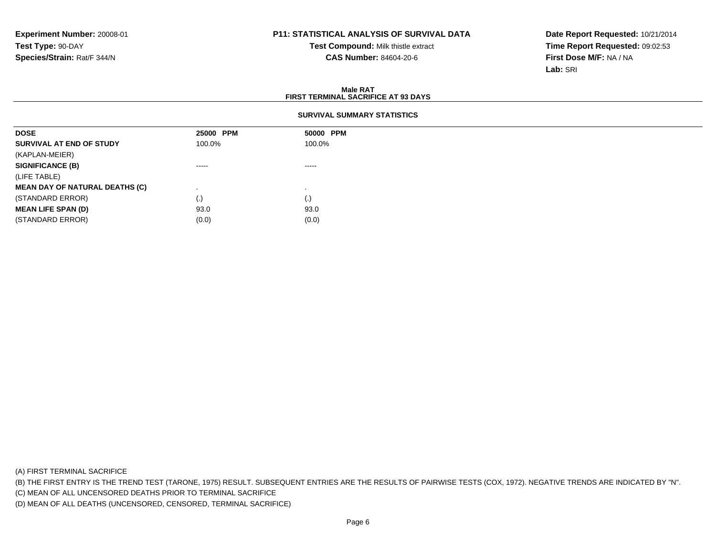**Test Compound:** Milk thistle extract**CAS Number:** 84604-20-6

**Date Report Requested:** 10/21/2014**Time Report Requested:** 09:02:53**First Dose M/F:** NA / NA**Lab:** SRI

### **Male RATFIRST TERMINAL SACRIFICE AT 93 DAYS**

## **SURVIVAL SUMMARY STATISTICS**

| <b>DOSE</b>                           | 25000 PPM                                                                                                                                                                                                                                                                                                                                                                                                                                                                              | 50000 PPM                                                                                                                                                                                                                                                                                                                                                                                                                                                                              |
|---------------------------------------|----------------------------------------------------------------------------------------------------------------------------------------------------------------------------------------------------------------------------------------------------------------------------------------------------------------------------------------------------------------------------------------------------------------------------------------------------------------------------------------|----------------------------------------------------------------------------------------------------------------------------------------------------------------------------------------------------------------------------------------------------------------------------------------------------------------------------------------------------------------------------------------------------------------------------------------------------------------------------------------|
| SURVIVAL AT END OF STUDY              | 100.0%                                                                                                                                                                                                                                                                                                                                                                                                                                                                                 | 100.0%                                                                                                                                                                                                                                                                                                                                                                                                                                                                                 |
| (KAPLAN-MEIER)                        |                                                                                                                                                                                                                                                                                                                                                                                                                                                                                        |                                                                                                                                                                                                                                                                                                                                                                                                                                                                                        |
| <b>SIGNIFICANCE (B)</b>               | $\begin{array}{cccccccccccccc} \multicolumn{2}{c}{} & \multicolumn{2}{c}{} & \multicolumn{2}{c}{} & \multicolumn{2}{c}{} & \multicolumn{2}{c}{} & \multicolumn{2}{c}{} & \multicolumn{2}{c}{} & \multicolumn{2}{c}{} & \multicolumn{2}{c}{} & \multicolumn{2}{c}{} & \multicolumn{2}{c}{} & \multicolumn{2}{c}{} & \multicolumn{2}{c}{} & \multicolumn{2}{c}{} & \multicolumn{2}{c}{} & \multicolumn{2}{c}{} & \multicolumn{2}{c}{} & \multicolumn{2}{c}{} & \multicolumn{2}{c}{} & \$ | $\begin{array}{cccccccccccccc} \multicolumn{2}{c}{} & \multicolumn{2}{c}{} & \multicolumn{2}{c}{} & \multicolumn{2}{c}{} & \multicolumn{2}{c}{} & \multicolumn{2}{c}{} & \multicolumn{2}{c}{} & \multicolumn{2}{c}{} & \multicolumn{2}{c}{} & \multicolumn{2}{c}{} & \multicolumn{2}{c}{} & \multicolumn{2}{c}{} & \multicolumn{2}{c}{} & \multicolumn{2}{c}{} & \multicolumn{2}{c}{} & \multicolumn{2}{c}{} & \multicolumn{2}{c}{} & \multicolumn{2}{c}{} & \multicolumn{2}{c}{} & \$ |
| (LIFE TABLE)                          |                                                                                                                                                                                                                                                                                                                                                                                                                                                                                        |                                                                                                                                                                                                                                                                                                                                                                                                                                                                                        |
| <b>MEAN DAY OF NATURAL DEATHS (C)</b> |                                                                                                                                                                                                                                                                                                                                                                                                                                                                                        |                                                                                                                                                                                                                                                                                                                                                                                                                                                                                        |
| (STANDARD ERROR)                      | (.)                                                                                                                                                                                                                                                                                                                                                                                                                                                                                    | $\left( . \right)$                                                                                                                                                                                                                                                                                                                                                                                                                                                                     |
| <b>MEAN LIFE SPAN (D)</b>             | 93.0                                                                                                                                                                                                                                                                                                                                                                                                                                                                                   | 93.0                                                                                                                                                                                                                                                                                                                                                                                                                                                                                   |
| (STANDARD ERROR)                      | (0.0)                                                                                                                                                                                                                                                                                                                                                                                                                                                                                  | (0.0)                                                                                                                                                                                                                                                                                                                                                                                                                                                                                  |

(A) FIRST TERMINAL SACRIFICE

(B) THE FIRST ENTRY IS THE TREND TEST (TARONE, 1975) RESULT. SUBSEQUENT ENTRIES ARE THE RESULTS OF PAIRWISE TESTS (COX, 1972). NEGATIVE TRENDS ARE INDICATED BY "N".

(C) MEAN OF ALL UNCENSORED DEATHS PRIOR TO TERMINAL SACRIFICE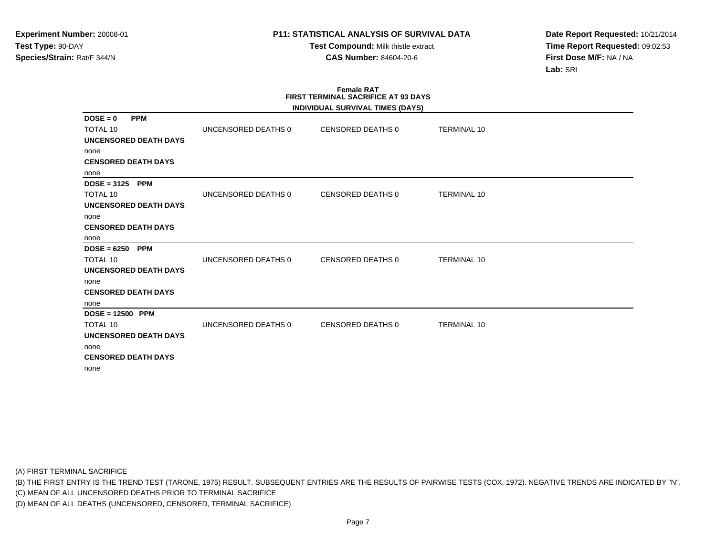**Test Compound:** Milk thistle extract**CAS Number:** 84604-20-6

**Date Report Requested:** 10/21/2014**Time Report Requested:** 09:02:53**First Dose M/F:** NA / NA**Lab:** SRI

### **Female RAT FIRST TERMINAL SACRIFICE AT 93 DAYSINDIVIDUAL SURVIVAL TIMES (DAYS)**

|                                             |                     | INDIVIDUAL SURVIVAL TIMES (DATS) |                    |  |
|---------------------------------------------|---------------------|----------------------------------|--------------------|--|
| $DOSE = 0$<br><b>PPM</b><br><b>TOTAL 10</b> | UNCENSORED DEATHS 0 | CENSORED DEATHS 0                | <b>TERMINAL 10</b> |  |
| <b>UNCENSORED DEATH DAYS</b>                |                     |                                  |                    |  |
| none                                        |                     |                                  |                    |  |
| <b>CENSORED DEATH DAYS</b>                  |                     |                                  |                    |  |
| none                                        |                     |                                  |                    |  |
| $DOSE = 3125$ PPM                           |                     |                                  |                    |  |
| <b>TOTAL 10</b>                             | UNCENSORED DEATHS 0 | CENSORED DEATHS 0                | <b>TERMINAL 10</b> |  |
| UNCENSORED DEATH DAYS                       |                     |                                  |                    |  |
| none                                        |                     |                                  |                    |  |
| <b>CENSORED DEATH DAYS</b>                  |                     |                                  |                    |  |
| none                                        |                     |                                  |                    |  |
| $DOSE = 6250$<br><b>PPM</b>                 |                     |                                  |                    |  |
| <b>TOTAL 10</b>                             | UNCENSORED DEATHS 0 | CENSORED DEATHS 0                | <b>TERMINAL 10</b> |  |
| UNCENSORED DEATH DAYS                       |                     |                                  |                    |  |
| none                                        |                     |                                  |                    |  |
| <b>CENSORED DEATH DAYS</b>                  |                     |                                  |                    |  |
| none                                        |                     |                                  |                    |  |
| $DOSE = 12500$ PPM                          |                     |                                  |                    |  |
| <b>TOTAL 10</b>                             | UNCENSORED DEATHS 0 | CENSORED DEATHS 0                | <b>TERMINAL 10</b> |  |
| <b>UNCENSORED DEATH DAYS</b>                |                     |                                  |                    |  |
| none                                        |                     |                                  |                    |  |
| <b>CENSORED DEATH DAYS</b>                  |                     |                                  |                    |  |
| none                                        |                     |                                  |                    |  |

(A) FIRST TERMINAL SACRIFICE

(B) THE FIRST ENTRY IS THE TREND TEST (TARONE, 1975) RESULT. SUBSEQUENT ENTRIES ARE THE RESULTS OF PAIRWISE TESTS (COX, 1972). NEGATIVE TRENDS ARE INDICATED BY "N".

(C) MEAN OF ALL UNCENSORED DEATHS PRIOR TO TERMINAL SACRIFICE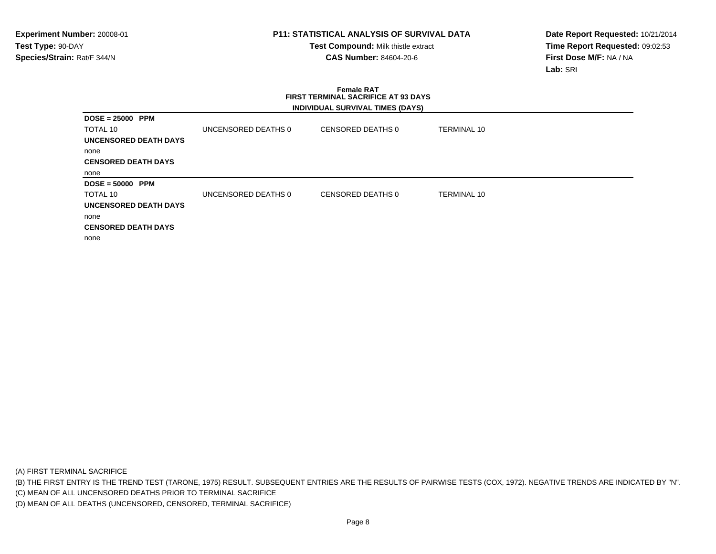**Test Compound:** Milk thistle extract**CAS Number:** 84604-20-6

**Date Report Requested:** 10/21/2014**Time Report Requested:** 09:02:53**First Dose M/F:** NA / NA**Lab:** SRI

# **Female RAT FIRST TERMINAL SACRIFICE AT 93 DAYSINDIVIDUAL SURVIVAL TIMES (DAYS)**

| $DOSE = 25000$ PPM         |                     |                   |                    |
|----------------------------|---------------------|-------------------|--------------------|
| TOTAL 10                   | UNCENSORED DEATHS 0 | CENSORED DEATHS 0 | TERMINAL 10        |
| UNCENSORED DEATH DAYS      |                     |                   |                    |
| none                       |                     |                   |                    |
| <b>CENSORED DEATH DAYS</b> |                     |                   |                    |
| none                       |                     |                   |                    |
|                            |                     |                   |                    |
| $DOSE = 50000$ PPM         |                     |                   |                    |
| TOTAL 10                   | UNCENSORED DEATHS 0 | CENSORED DEATHS 0 | <b>TERMINAL 10</b> |
| UNCENSORED DEATH DAYS      |                     |                   |                    |
| none                       |                     |                   |                    |
| <b>CENSORED DEATH DAYS</b> |                     |                   |                    |

(A) FIRST TERMINAL SACRIFICE

(B) THE FIRST ENTRY IS THE TREND TEST (TARONE, 1975) RESULT. SUBSEQUENT ENTRIES ARE THE RESULTS OF PAIRWISE TESTS (COX, 1972). NEGATIVE TRENDS ARE INDICATED BY "N".

(C) MEAN OF ALL UNCENSORED DEATHS PRIOR TO TERMINAL SACRIFICE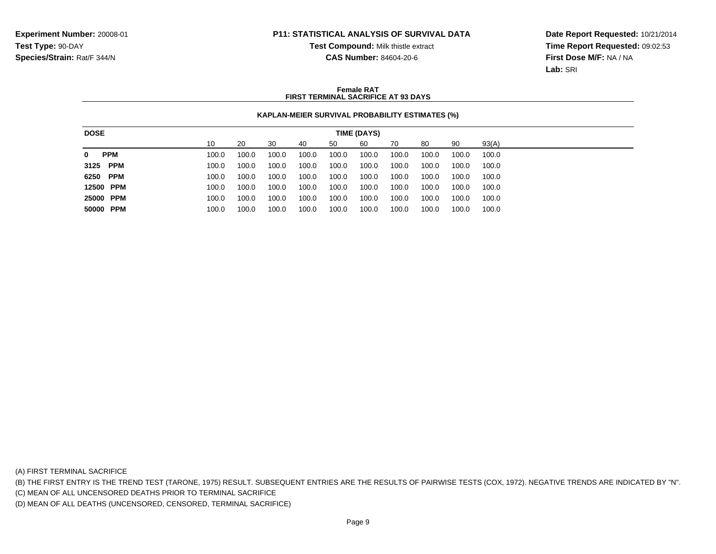**Test Compound:** Milk thistle extract

**CAS Number:** 84604-20-6

**Date Report Requested:** 10/21/2014**Time Report Requested:** 09:02:53**First Dose M/F:** NA / NA**Lab:** SRI

### **Female RATFIRST TERMINAL SACRIFICE AT 93 DAYS**

## **KAPLAN-MEIER SURVIVAL PROBABILITY ESTIMATES (%)**

| <b>DOSE</b>     |       |       |       |       |       | TIME (DAYS) |       |       |       |       |
|-----------------|-------|-------|-------|-------|-------|-------------|-------|-------|-------|-------|
|                 | 10    | 20    | 30    | 40    | 50    | 60          | 70    | 80    | 90    | 93(A) |
| 0<br><b>PPM</b> | 100.0 | 100.0 | 100.0 | 100.0 | 100.0 | 100.0       | 100.0 | 100.0 | 100.0 | 100.0 |
| 3125 PPM        | 100.0 | 100.0 | 100.0 | 100.0 | 100.0 | 100.0       | 100.0 | 100.0 | 100.0 | 100.0 |
| 6250 PPM        | 100.0 | 100.0 | 100.0 | 100.0 | 100.0 | 100.0       | 100.0 | 100.0 | 100.0 | 100.0 |
| 12500 PPM       | 100.0 | 100.0 | 100.0 | 100.0 | 100.0 | 100.0       | 100.0 | 100.0 | 100.0 | 100.0 |
| 25000 PPM       | 100.0 | 100.0 | 100.0 | 100.0 | 100.0 | 100.0       | 100.0 | 100.0 | 100.0 | 100.0 |
| 50000 PPM       | 100.0 | 100.0 | 100.0 | 100.0 | 100.0 | 100.0       | 100.0 | 100.0 | 100.0 | 100.0 |
|                 |       |       |       |       |       |             |       |       |       |       |

(A) FIRST TERMINAL SACRIFICE

(B) THE FIRST ENTRY IS THE TREND TEST (TARONE, 1975) RESULT. SUBSEQUENT ENTRIES ARE THE RESULTS OF PAIRWISE TESTS (COX, 1972). NEGATIVE TRENDS ARE INDICATED BY "N".

(C) MEAN OF ALL UNCENSORED DEATHS PRIOR TO TERMINAL SACRIFICE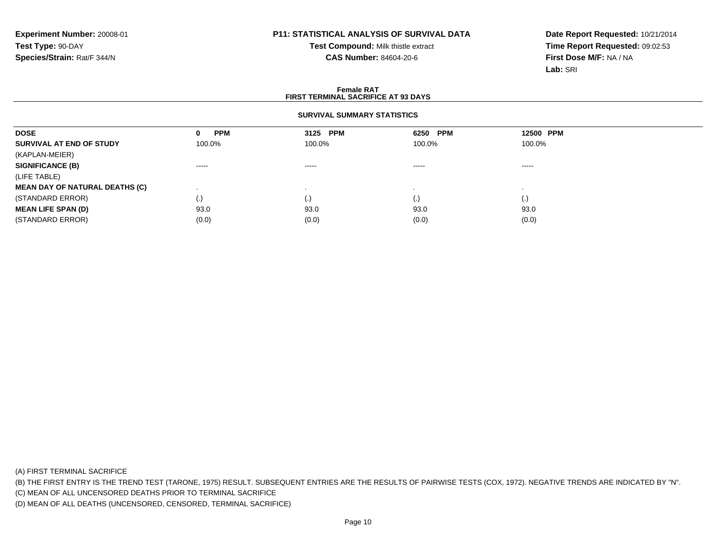**Test Compound:** Milk thistle extract**CAS Number:** 84604-20-6

**Date Report Requested:** 10/21/2014**Time Report Requested:** 09:02:53**First Dose M/F:** NA / NA**Lab:** SRI

### **Female RATFIRST TERMINAL SACRIFICE AT 93 DAYS**

## **SURVIVAL SUMMARY STATISTICS**

| <b>DOSE</b>                           | <b>PPM</b><br>0 | 3125 PPM               | 6250 PPM           | 12500 PPM          |  |
|---------------------------------------|-----------------|------------------------|--------------------|--------------------|--|
| SURVIVAL AT END OF STUDY              | 100.0%          | 100.0%                 | 100.0%             | 100.0%             |  |
| (KAPLAN-MEIER)                        |                 |                        |                    |                    |  |
| <b>SIGNIFICANCE (B)</b>               | $\cdots$        | $\cdots \cdots \cdots$ | $\cdots$           | -----              |  |
| (LIFE TABLE)                          |                 |                        |                    |                    |  |
| <b>MEAN DAY OF NATURAL DEATHS (C)</b> |                 |                        |                    |                    |  |
| (STANDARD ERROR)                      | (.)             | (.)                    | $\left( . \right)$ | $\left( . \right)$ |  |
| <b>MEAN LIFE SPAN (D)</b>             | 93.0            | 93.0                   | 93.0               | 93.0               |  |
| (STANDARD ERROR)                      | (0.0)           | (0.0)                  | (0.0)              | (0.0)              |  |

(A) FIRST TERMINAL SACRIFICE

(B) THE FIRST ENTRY IS THE TREND TEST (TARONE, 1975) RESULT. SUBSEQUENT ENTRIES ARE THE RESULTS OF PAIRWISE TESTS (COX, 1972). NEGATIVE TRENDS ARE INDICATED BY "N".

(C) MEAN OF ALL UNCENSORED DEATHS PRIOR TO TERMINAL SACRIFICE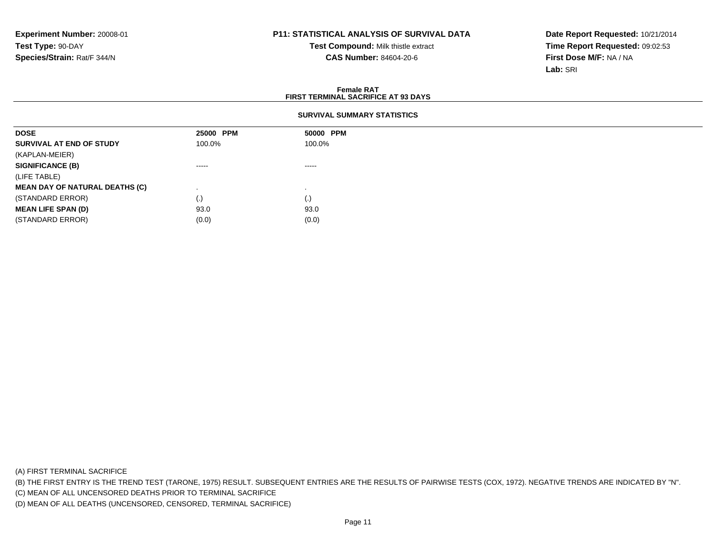**Test Compound:** Milk thistle extract**CAS Number:** 84604-20-6

**Date Report Requested:** 10/21/2014**Time Report Requested:** 09:02:53**First Dose M/F:** NA / NA**Lab:** SRI

### **Female RATFIRST TERMINAL SACRIFICE AT 93 DAYS**

### **SURVIVAL SUMMARY STATISTICS**

| <b>DOSE</b>                           | 25000 PPM | 50000 PPM |
|---------------------------------------|-----------|-----------|
| SURVIVAL AT END OF STUDY              | 100.0%    | 100.0%    |
| (KAPLAN-MEIER)                        |           |           |
| <b>SIGNIFICANCE (B)</b>               | -----     | -----     |
| (LIFE TABLE)                          |           |           |
| <b>MEAN DAY OF NATURAL DEATHS (C)</b> |           |           |
| (STANDARD ERROR)                      | (.)       | (.)       |
| <b>MEAN LIFE SPAN (D)</b>             | 93.0      | 93.0      |
| (STANDARD ERROR)                      | (0.0)     | (0.0)     |

(A) FIRST TERMINAL SACRIFICE

(B) THE FIRST ENTRY IS THE TREND TEST (TARONE, 1975) RESULT. SUBSEQUENT ENTRIES ARE THE RESULTS OF PAIRWISE TESTS (COX, 1972). NEGATIVE TRENDS ARE INDICATED BY "N".

(C) MEAN OF ALL UNCENSORED DEATHS PRIOR TO TERMINAL SACRIFICE